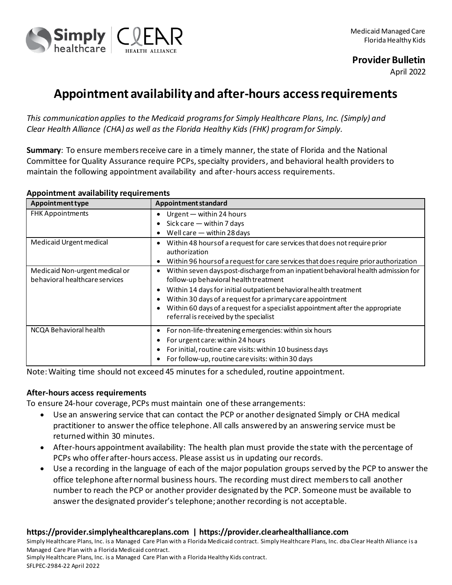

## **Provider Bulletin**

April 2022

# **Appointment availability and after-hours access requirements**

*This communication applies to the Medicaid programs for Simply Healthcare Plans, Inc. (Simply) and Clear Health Alliance (CHA) as well as the Florida Healthy Kids (FHK) program for Simply.*

**Summary**: To ensure members receive care in a timely manner, the state of Florida and the National Committee for Quality Assurance require PCPs, specialty providers, and behavioral health providers to maintain the following appointment availability and after-hours access requirements.

#### **Appointment availability requirements**

| <b>Appointment type</b>        | Appointment standard                                                                 |
|--------------------------------|--------------------------------------------------------------------------------------|
| <b>FHK Appointments</b>        | Urgent - within 24 hours                                                             |
|                                | Sick care $-$ within 7 days                                                          |
|                                | Well care $-$ within 28 days                                                         |
| Medicaid Urgent medical        | Within 48 hours of a request for care services that does not require prior           |
|                                | authorization                                                                        |
|                                | Within 96 hours of a request for care services that does require prior authorization |
| Medicaid Non-urgent medical or | Within seven days post-discharge from an inpatient behavioral health admission for   |
| behavioral healthcare services | follow-up behavioral health treatment                                                |
|                                | Within 14 days for initial outpatient behavioral health treatment                    |
|                                | Within 30 days of a request for a primary care appointment                           |
|                                | Within 60 days of a request for a specialist appointment after the appropriate       |
|                                | referral is received by the specialist                                               |
| NCQA Behavioral health         | For non-life-threatening emergencies: within six hours                               |
|                                | For urgent care: within 24 hours                                                     |
|                                | For initial, routine care visits: within 10 business days                            |
|                                | For follow-up, routine care visits: within 30 days                                   |

Note: Waiting time should not exceed 45 minutes for a scheduled, routine appointment.

### **After-hours access requirements**

To ensure 24-hour coverage, PCPs must maintain one of these arrangements:

- Use an answering service that can contact the PCP or another designated Simply or CHA medical practitioner to answer the office telephone. All calls answered by an answering service must be returned within 30 minutes.
- After-hours appointment availability: The health plan must provide the state with the percentage of PCPs who offer after-hours access. Please assist us in updating our records.
- Use a recording in the language of each of the major population groups served by the PCP to answer the office telephone after normal business hours. The recording must direct members to call another number to reach the PCP or another provider designated by the PCP. Someone must be available to answer the designated provider's telephone; another recording is not acceptable.

### **https://provider.simplyhealthcareplans.com | https://provider.clearhealthalliance.com**

Simply Healthcare Plans, Inc. is a Managed Care Plan with a Florida Medicaid contract. Simply Healthcare Plans, Inc. dba Clear Health Alliance is a Managed Care Plan with a Florida Medicaid contract.

Simply Healthcare Plans, Inc. is a Managed Care Plan with a Florida Healthy Kids contract. SFLPEC-2984-22 April 2022